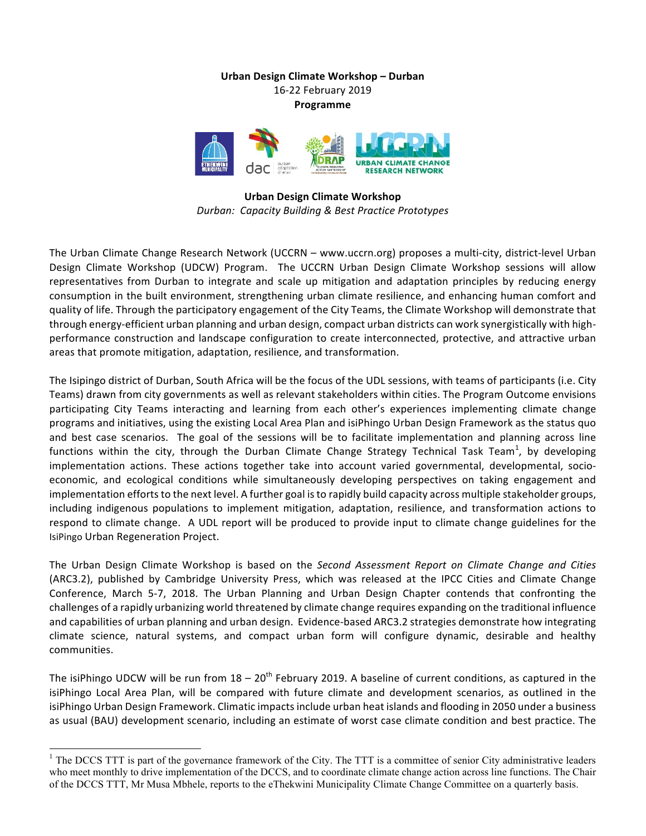**Urban Design Climate Workshop – Durban** 16-22 February 2019 **Programme**



**Urban Design Climate Workshop** *Durban: Capacity Building & Best Practice Prototypes* 

The Urban Climate Change Research Network (UCCRN – www.uccrn.org) proposes a multi-city, district-level Urban Design Climate Workshop (UDCW) Program. The UCCRN Urban Design Climate Workshop sessions will allow representatives from Durban to integrate and scale up mitigation and adaptation principles by reducing energy consumption in the built environment, strengthening urban climate resilience, and enhancing human comfort and quality of life. Through the participatory engagement of the City Teams, the Climate Workshop will demonstrate that through energy-efficient urban planning and urban design, compact urban districts can work synergistically with highperformance construction and landscape configuration to create interconnected, protective, and attractive urban areas that promote mitigation, adaptation, resilience, and transformation.

The Isipingo district of Durban, South Africa will be the focus of the UDL sessions, with teams of participants (i.e. City Teams) drawn from city governments as well as relevant stakeholders within cities. The Program Outcome envisions participating City Teams interacting and learning from each other's experiences implementing climate change programs and initiatives, using the existing Local Area Plan and isiPhingo Urban Design Framework as the status quo and best case scenarios. The goal of the sessions will be to facilitate implementation and planning across line functions within the city, through the Durban Climate Change Strategy Technical Task Team<sup>1</sup>, by developing implementation actions. These actions together take into account varied governmental, developmental, socioeconomic, and ecological conditions while simultaneously developing perspectives on taking engagement and implementation efforts to the next level. A further goal is to rapidly build capacity across multiple stakeholder groups, including indigenous populations to implement mitigation, adaptation, resilience, and transformation actions to respond to climate change. A UDL report will be produced to provide input to climate change guidelines for the IsiPingo Urban Regeneration Project.

The Urban Design Climate Workshop is based on the *Second Assessment Report on Climate Change and Cities* (ARC3.2), published by Cambridge University Press, which was released at the IPCC Cities and Climate Change Conference, March 5-7, 2018. The Urban Planning and Urban Design Chapter contends that confronting the challenges of a rapidly urbanizing world threatened by climate change requires expanding on the traditional influence and capabilities of urban planning and urban design. Evidence-based ARC3.2 strategies demonstrate how integrating climate science, natural systems, and compact urban form will configure dynamic, desirable and healthy communities. 

The isiPhingo UDCW will be run from  $18 - 20^{th}$  February 2019. A baseline of current conditions, as captured in the isiPhingo Local Area Plan, will be compared with future climate and development scenarios, as outlined in the isiPhingo Urban Design Framework. Climatic impacts include urban heat islands and flooding in 2050 under a business as usual (BAU) development scenario, including an estimate of worst case climate condition and best practice. The

 $1$  The DCCS TTT is part of the governance framework of the City. The TTT is a committee of senior City administrative leaders who meet monthly to drive implementation of the DCCS, and to coordinate climate change action across line functions. The Chair of the DCCS TTT, Mr Musa Mbhele, reports to the eThekwini Municipality Climate Change Committee on a quarterly basis.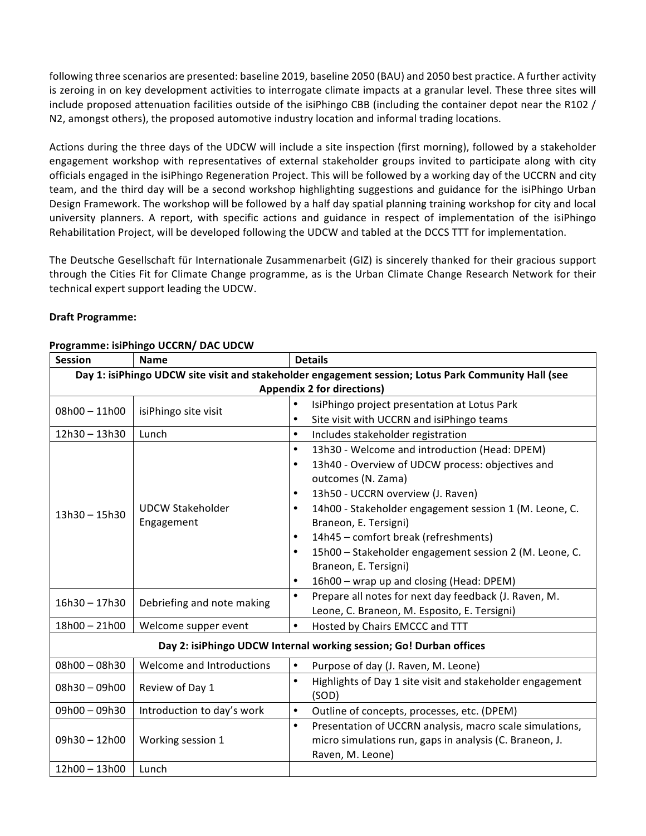following three scenarios are presented: baseline 2019, baseline 2050 (BAU) and 2050 best practice. A further activity is zeroing in on key development activities to interrogate climate impacts at a granular level. These three sites will include proposed attenuation facilities outside of the isiPhingo CBB (including the container depot near the R102 / N2, amongst others), the proposed automotive industry location and informal trading locations.

Actions during the three days of the UDCW will include a site inspection (first morning), followed by a stakeholder engagement workshop with representatives of external stakeholder groups invited to participate along with city officials engaged in the isiPhingo Regeneration Project. This will be followed by a working day of the UCCRN and city team, and the third day will be a second workshop highlighting suggestions and guidance for the isiPhingo Urban Design Framework. The workshop will be followed by a half day spatial planning training workshop for city and local university planners. A report, with specific actions and guidance in respect of implementation of the isiPhingo Rehabilitation Project, will be developed following the UDCW and tabled at the DCCS TTT for implementation.

The Deutsche Gesellschaft für Internationale Zusammenarbeit (GIZ) is sincerely thanked for their gracious support through the Cities Fit for Climate Change programme, as is the Urban Climate Change Research Network for their technical expert support leading the UDCW.

#### **Draft Programme:**

| <b>Session</b>                                                                                      | <b>Name</b>                           | <b>Details</b>                                                         |  |
|-----------------------------------------------------------------------------------------------------|---------------------------------------|------------------------------------------------------------------------|--|
| Day 1: isiPhingo UDCW site visit and stakeholder engagement session; Lotus Park Community Hall (see |                                       |                                                                        |  |
| <b>Appendix 2 for directions)</b>                                                                   |                                       |                                                                        |  |
| $08h00 - 11h00$                                                                                     | isiPhingo site visit                  | IsiPhingo project presentation at Lotus Park<br>$\bullet$              |  |
|                                                                                                     |                                       | Site visit with UCCRN and isiPhingo teams<br>$\bullet$                 |  |
| 12h30-13h30                                                                                         | Lunch                                 | $\bullet$<br>Includes stakeholder registration                         |  |
| 13h30 - 15h30                                                                                       | <b>UDCW Stakeholder</b><br>Engagement | 13h30 - Welcome and introduction (Head: DPEM)<br>$\bullet$             |  |
|                                                                                                     |                                       | 13h40 - Overview of UDCW process: objectives and<br>$\bullet$          |  |
|                                                                                                     |                                       | outcomes (N. Zama)                                                     |  |
|                                                                                                     |                                       | 13h50 - UCCRN overview (J. Raven)<br>$\bullet$                         |  |
|                                                                                                     |                                       | 14h00 - Stakeholder engagement session 1 (M. Leone, C.<br>$\bullet$    |  |
|                                                                                                     |                                       | Braneon, E. Tersigni)                                                  |  |
|                                                                                                     |                                       | 14h45 - comfort break (refreshments)<br>$\bullet$                      |  |
|                                                                                                     |                                       | 15h00 - Stakeholder engagement session 2 (M. Leone, C.<br>$\bullet$    |  |
|                                                                                                     |                                       | Braneon, E. Tersigni)                                                  |  |
|                                                                                                     |                                       | 16h00 - wrap up and closing (Head: DPEM)<br>$\bullet$                  |  |
| 16h30 - 17h30                                                                                       | Debriefing and note making            | Prepare all notes for next day feedback (J. Raven, M.                  |  |
|                                                                                                     |                                       | Leone, C. Braneon, M. Esposito, E. Tersigni)                           |  |
| 18h00 - 21h00                                                                                       | Welcome supper event                  | $\bullet$<br>Hosted by Chairs EMCCC and TTT                            |  |
| Day 2: isiPhingo UDCW Internal working session; Go! Durban offices                                  |                                       |                                                                        |  |
| 08h00-08h30                                                                                         | Welcome and Introductions             | $\bullet$<br>Purpose of day (J. Raven, M. Leone)                       |  |
| $08h30 - 09h00$                                                                                     | Review of Day 1                       | Highlights of Day 1 site visit and stakeholder engagement<br>$\bullet$ |  |
|                                                                                                     |                                       | (SOD)                                                                  |  |
| 09h00 - 09h30                                                                                       | Introduction to day's work            | Outline of concepts, processes, etc. (DPEM)<br>$\bullet$               |  |
| 09h30-12h00                                                                                         | Working session 1                     | $\bullet$<br>Presentation of UCCRN analysis, macro scale simulations,  |  |
|                                                                                                     |                                       | micro simulations run, gaps in analysis (C. Braneon, J.                |  |
|                                                                                                     |                                       | Raven, M. Leone)                                                       |  |
| 12h00 - 13h00                                                                                       | Lunch                                 |                                                                        |  |

#### **Programme: isiPhingo UCCRN/ DAC UDCW**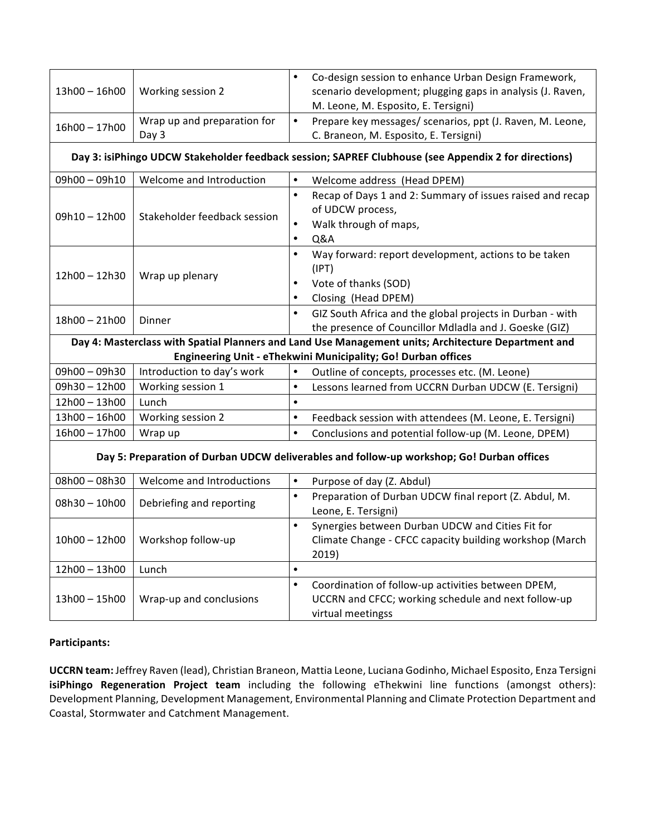| 13h00 - 16h00                                                                                        | Working session 2                    | Co-design session to enhance Urban Design Framework,<br>$\bullet$<br>scenario development; plugging gaps in analysis (J. Raven,<br>M. Leone, M. Esposito, E. Tersigni) |  |  |
|------------------------------------------------------------------------------------------------------|--------------------------------------|------------------------------------------------------------------------------------------------------------------------------------------------------------------------|--|--|
| 16h00 - 17h00                                                                                        | Wrap up and preparation for<br>Day 3 | Prepare key messages/ scenarios, ppt (J. Raven, M. Leone,<br>$\bullet$<br>C. Braneon, M. Esposito, E. Tersigni)                                                        |  |  |
| Day 3: isiPhingo UDCW Stakeholder feedback session; SAPREF Clubhouse (see Appendix 2 for directions) |                                      |                                                                                                                                                                        |  |  |
| 09h00-09h10                                                                                          | Welcome and Introduction             | $\bullet$<br>Welcome address (Head DPEM)                                                                                                                               |  |  |
| $09h10 - 12h00$                                                                                      | Stakeholder feedback session         | $\bullet$<br>Recap of Days 1 and 2: Summary of issues raised and recap<br>of UDCW process,<br>Walk through of maps,<br>$\bullet$<br>$\bullet$<br>Q&A                   |  |  |
| 12h00 - 12h30                                                                                        | Wrap up plenary                      | $\bullet$<br>Way forward: report development, actions to be taken<br>(IPT)<br>Vote of thanks (SOD)<br>$\bullet$<br>Closing (Head DPEM)                                 |  |  |
| 18h00 - 21h00                                                                                        | Dinner                               | GIZ South Africa and the global projects in Durban - with<br>$\bullet$<br>the presence of Councillor Mdladla and J. Goeske (GIZ)                                       |  |  |
| Day 4: Masterclass with Spatial Planners and Land Use Management units; Architecture Department and  |                                      |                                                                                                                                                                        |  |  |
| Engineering Unit - eThekwini Municipality; Go! Durban offices                                        |                                      |                                                                                                                                                                        |  |  |
| 09h00-09h30                                                                                          | Introduction to day's work           | Outline of concepts, processes etc. (M. Leone)<br>$\bullet$                                                                                                            |  |  |
| 09h30-12h00                                                                                          | Working session 1                    | Lessons learned from UCCRN Durban UDCW (E. Tersigni)<br>$\bullet$                                                                                                      |  |  |
| 12h00 - 13h00                                                                                        | Lunch                                | $\bullet$                                                                                                                                                              |  |  |
| 13h00 - 16h00                                                                                        | Working session 2                    | $\bullet$<br>Feedback session with attendees (M. Leone, E. Tersigni)                                                                                                   |  |  |
| 16h00 - 17h00                                                                                        | Wrap up                              | Conclusions and potential follow-up (M. Leone, DPEM)<br>$\bullet$                                                                                                      |  |  |
| Day 5: Preparation of Durban UDCW deliverables and follow-up workshop; Go! Durban offices            |                                      |                                                                                                                                                                        |  |  |
| 08h00-08h30                                                                                          | Welcome and Introductions            | $\bullet$<br>Purpose of day (Z. Abdul)                                                                                                                                 |  |  |
| $08h30 - 10h00$                                                                                      | Debriefing and reporting             | Preparation of Durban UDCW final report (Z. Abdul, M.<br>$\bullet$<br>Leone, E. Tersigni)                                                                              |  |  |
| $10h00 - 12h00$                                                                                      | Workshop follow-up                   | Synergies between Durban UDCW and Cities Fit for<br>$\bullet$<br>Climate Change - CFCC capacity building workshop (March<br>2019)                                      |  |  |
| 12h00 - 13h00                                                                                        | Lunch                                | $\bullet$                                                                                                                                                              |  |  |
| 13h00 - 15h00                                                                                        | Wrap-up and conclusions              | Coordination of follow-up activities between DPEM,<br>$\bullet$<br>UCCRN and CFCC; working schedule and next follow-up<br>virtual meetingss                            |  |  |

## **Participants:**

UCCRN team: Jeffrey Raven (lead), Christian Braneon, Mattia Leone, Luciana Godinho, Michael Esposito, Enza Tersigni **isiPhingo Regeneration Project team** including the following eThekwini line functions (amongst others): Development Planning, Development Management, Environmental Planning and Climate Protection Department and Coastal, Stormwater and Catchment Management.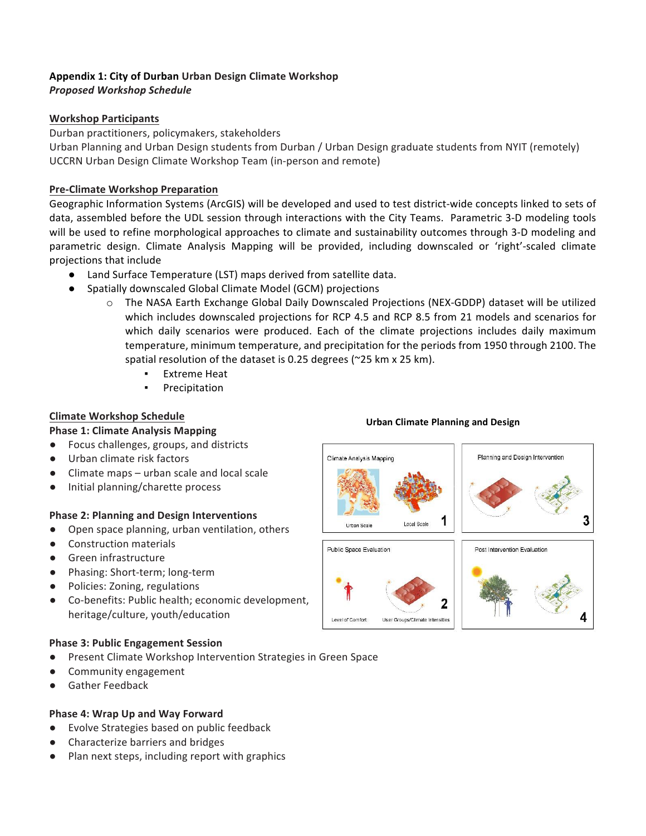# **Appendix 1: City of Durban Urban Design Climate Workshop**

## *Proposed Workshop Schedule*

## **Workshop Participants**

Durban practitioners, policymakers, stakeholders

Urban Planning and Urban Design students from Durban / Urban Design graduate students from NYIT (remotely) UCCRN Urban Design Climate Workshop Team (in-person and remote)

## **Pre-Climate Workshop Preparation**

Geographic Information Systems (ArcGIS) will be developed and used to test district-wide concepts linked to sets of data, assembled before the UDL session through interactions with the City Teams. Parametric 3-D modeling tools will be used to refine morphological approaches to climate and sustainability outcomes through 3-D modeling and parametric design. Climate Analysis Mapping will be provided, including downscaled or 'right'-scaled climate projections that include

- Land Surface Temperature (LST) maps derived from satellite data.
- Spatially downscaled Global Climate Model (GCM) projections
	- $\circ$  The NASA Earth Exchange Global Daily Downscaled Projections (NEX-GDDP) dataset will be utilized which includes downscaled projections for RCP 4.5 and RCP 8.5 from 21 models and scenarios for which daily scenarios were produced. Each of the climate projections includes daily maximum temperature, minimum temperature, and precipitation for the periods from 1950 through 2100. The spatial resolution of the dataset is 0.25 degrees ( $\approx$ 25 km x 25 km).
		- **Extreme Heat**
		- Precipitation

## **Climate Workshop Schedule**

## **Phase 1: Climate Analysis Mapping**

- Focus challenges, groups, and districts
- Urban climate risk factors
- $\bullet$  Climate maps urban scale and local scale
- Initial planning/charette process

## **Phase 2: Planning and Design Interventions**

- Open space planning, urban ventilation, others
- Construction materials
- Green infrastructure
- Phasing: Short-term; long-term
- Policies: Zoning, regulations
- Co-benefits: Public health; economic development, heritage/culture, youth/education

## **Phase 3: Public Engagement Session**

- Present Climate Workshop Intervention Strategies in Green Space
- Community engagement
- Gather Feedback

## **Phase 4: Wrap Up and Way Forward**

- Evolve Strategies based on public feedback
- Characterize barriers and bridges
- Plan next steps, including report with graphics

## **Urban Climate Planning and Design**

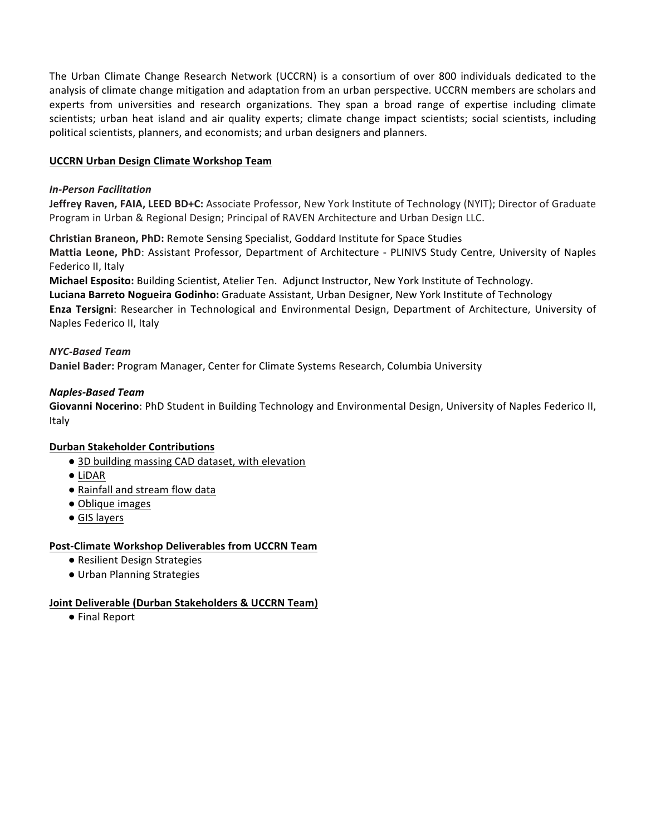The Urban Climate Change Research Network (UCCRN) is a consortium of over 800 individuals dedicated to the analysis of climate change mitigation and adaptation from an urban perspective. UCCRN members are scholars and experts from universities and research organizations. They span a broad range of expertise including climate scientists; urban heat island and air quality experts; climate change impact scientists; social scientists, including political scientists, planners, and economists; and urban designers and planners.

#### **UCCRN Urban Design Climate Workshop Team**

#### *In-Person Facilitation*

Jeffrey Raven, FAIA, LEED BD+C: Associate Professor, New York Institute of Technology (NYIT); Director of Graduate Program in Urban & Regional Design; Principal of RAVEN Architecture and Urban Design LLC.

**Christian Braneon, PhD:** Remote Sensing Specialist, Goddard Institute for Space Studies **Mattia Leone, PhD**: Assistant Professor, Department of Architecture - PLINIVS Study Centre, University of Naples Federico II, Italy

**Michael Esposito:** Building Scientist, Atelier Ten. Adjunct Instructor, New York Institute of Technology. Luciana Barreto Nogueira Godinho: Graduate Assistant, Urban Designer, New York Institute of Technology **Enza Tersigni**: Researcher in Technological and Environmental Design, Department of Architecture, University of Naples Federico II, Italy

#### *NYC-Based Team*

**Daniel Bader:** Program Manager, Center for Climate Systems Research, Columbia University

#### *Naples-Based Team*

Giovanni Nocerino: PhD Student in Building Technology and Environmental Design, University of Naples Federico II, Italy

#### **Durban Stakeholder Contributions**

- 3D building massing CAD dataset, with elevation
- LiDAR
- Rainfall and stream flow data
- Oblique images
- GIS layers

#### **Post-Climate Workshop Deliverables from UCCRN Team**

- Resilient Design Strategies
- Urban Planning Strategies

#### **Joint Deliverable (Durban Stakeholders & UCCRN Team)**

● Final Report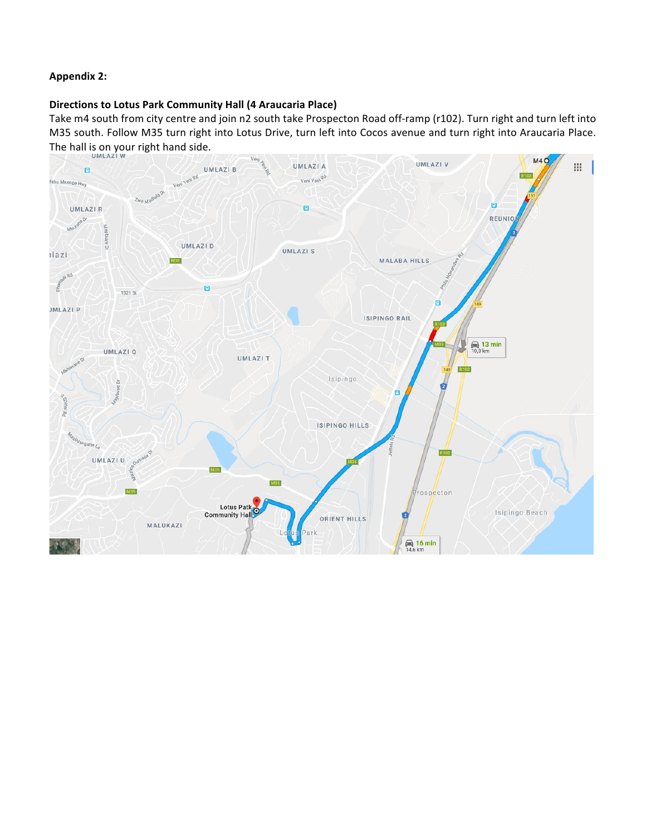### **Appendix 2:**

#### **Directions to Lotus Park Community Hall (4 Araucaria Place)**

Take m4 south from city centre and join n2 south take Prospecton Road off-ramp (r102). Turn right and turn left into M35 south. Follow M35 turn right into Lotus Drive, turn left into Cocos avenue and turn right into Araucaria Place. The hall is on your right hand side.